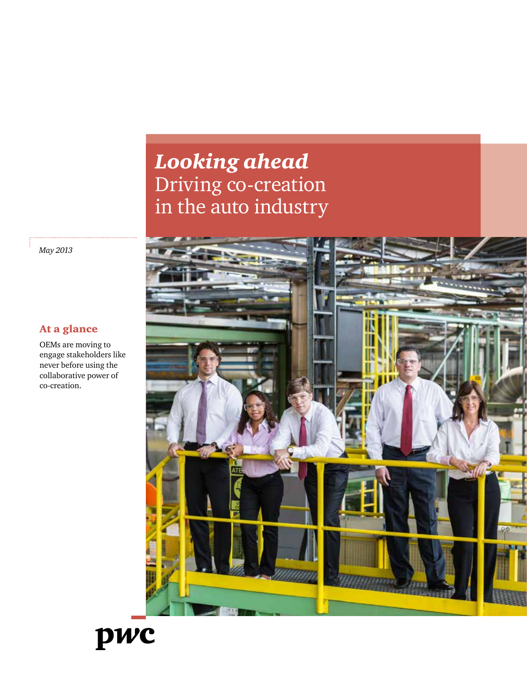### *Looking ahead* Driving co-creation in the auto industry



*May 2013*

#### At a glance

OEMs are moving to engage stakeholders like never before using the collaborative power of co-creation.

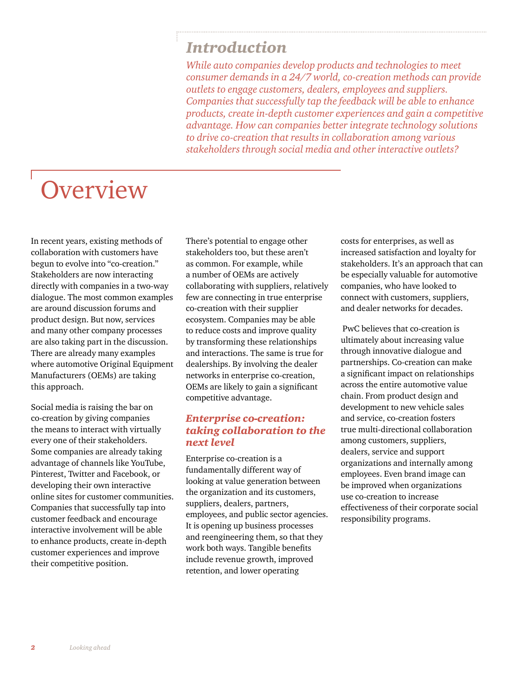### *Introduction*

*While auto companies develop products and technologies to meet consumer demands in a 24/7 world, co-creation methods can provide outlets to engage customers, dealers, employees and suppliers. Companies that successfully tap the feedback will be able to enhance products, create in-depth customer experiences and gain a competitive advantage. How can companies better integrate technology solutions to drive co-creation that results in collaboration among various stakeholders through social media and other interactive outlets?*

# **Overview**

In recent years, existing methods of collaboration with customers have begun to evolve into "co-creation." Stakeholders are now interacting directly with companies in a two-way dialogue. The most common examples are around discussion forums and product design. But now, services and many other company processes are also taking part in the discussion. There are already many examples where automotive Original Equipment Manufacturers (OEMs) are taking this approach.

Social media is raising the bar on co-creation by giving companies the means to interact with virtually every one of their stakeholders. Some companies are already taking advantage of channels like YouTube, Pinterest, Twitter and Facebook, or developing their own interactive online sites for customer communities. Companies that successfully tap into customer feedback and encourage interactive involvement will be able to enhance products, create in-depth customer experiences and improve their competitive position.

There's potential to engage other stakeholders too, but these aren't as common. For example, while a number of OEMs are actively collaborating with suppliers, relatively few are connecting in true enterprise co-creation with their supplier ecosystem. Companies may be able to reduce costs and improve quality by transforming these relationships and interactions. The same is true for dealerships. By involving the dealer networks in enterprise co-creation, OEMs are likely to gain a significant competitive advantage.

#### *Enterprise co-creation: taking collaboration to the next level*

Enterprise co-creation is a fundamentally different way of looking at value generation between the organization and its customers, suppliers, dealers, partners, employees, and public sector agencies. It is opening up business processes and reengineering them, so that they work both ways. Tangible benefits include revenue growth, improved retention, and lower operating

costs for enterprises, as well as increased satisfaction and loyalty for stakeholders. It's an approach that can be especially valuable for automotive companies, who have looked to connect with customers, suppliers, and dealer networks for decades.

 PwC believes that co-creation is ultimately about increasing value through innovative dialogue and partnerships. Co-creation can make a significant impact on relationships across the entire automotive value chain. From product design and development to new vehicle sales and service, co-creation fosters true multi-directional collaboration among customers, suppliers, dealers, service and support organizations and internally among employees. Even brand image can be improved when organizations use co-creation to increase effectiveness of their corporate social responsibility programs.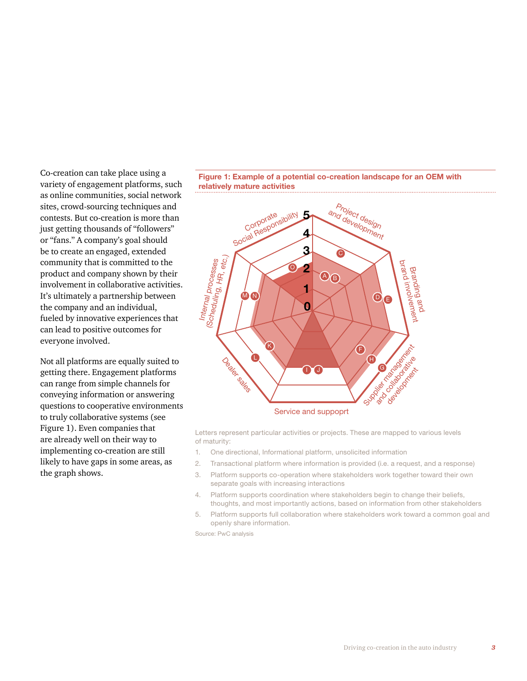Co-creation can take place using a variety of engagement platforms, such as online communities, social network sites, crowd-sourcing techniques and contests. But co-creation is more than just getting thousands of "followers" or "fans." A company's goal should be to create an engaged, extended community that is committed to the product and company shown by their involvement in collaborative activities. It's ultimately a partnership between the company and an individual, fueled by innovative experiences that can lead to positive outcomes for everyone involved.

Not all platforms are equally suited to getting there. Engagement platforms can range from simple channels for conveying information or answering questions to cooperative environments to truly collaborative systems (see Figure 1). Even companies that are already well on their way to implementing co-creation are still likely to have gaps in some areas, as the graph shows.





Letters represent particular activities or projects. These are mapped to various levels of maturity:

- 1. One directional, Informational platform, unsolicited information
- 2. Transactional platform where information is provided (i.e. a request, and a response)
- 3. Platform supports co-operation where stakeholders work together toward their own separate goals with increasing interactions
- 4. Platform supports coordination where stakeholders begin to change their beliefs, thoughts, and most importantly actions, based on information from other stakeholders
- 5. Platform supports full collaboration where stakeholders work toward a common goal and openly share information.

Source: PwC analysis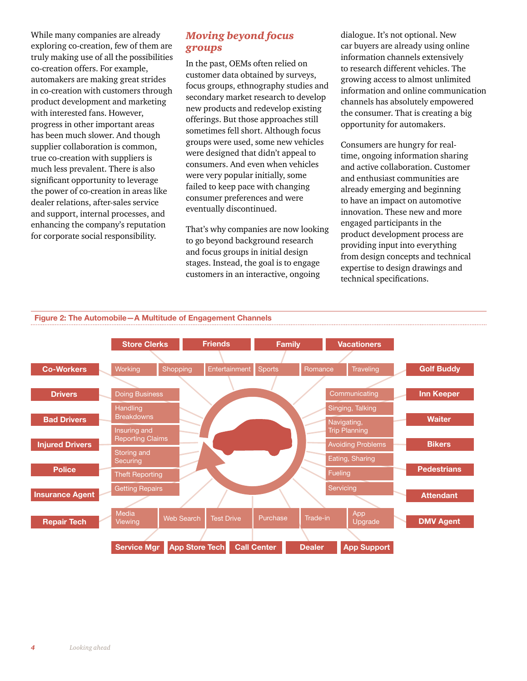While many companies are already exploring co-creation, few of them are truly making use of all the possibilities co-creation offers. For example, automakers are making great strides in co-creation with customers through product development and marketing with interested fans. However, progress in other important areas has been much slower. And though supplier collaboration is common, true co-creation with suppliers is much less prevalent. There is also significant opportunity to leverage the power of co-creation in areas like dealer relations, after-sales service and support, internal processes, and enhancing the company's reputation for corporate social responsibility.

#### *Moving beyond focus groups*

In the past, OEMs often relied on customer data obtained by surveys, focus groups, ethnography studies and secondary market research to develop new products and redevelop existing offerings. But those approaches still sometimes fell short. Although focus groups were used, some new vehicles were designed that didn't appeal to consumers. And even when vehicles were very popular initially, some failed to keep pace with changing consumer preferences and were eventually discontinued.

That's why companies are now looking to go beyond background research and focus groups in initial design stages. Instead, the goal is to engage customers in an interactive, ongoing

dialogue. It's not optional. New car buyers are already using online information channels extensively to research different vehicles. The growing access to almost unlimited information and online communication channels has absolutely empowered the consumer. That is creating a big opportunity for automakers.

Consumers are hungry for realtime, ongoing information sharing and active collaboration. Customer and enthusiast communities are already emerging and beginning to have an impact on automotive innovation. These new and more engaged participants in the product development process are providing input into everything from design concepts and technical expertise to design drawings and technical specifications.



**Figure 2: The Automobile—A Multitude of Engagement Channels**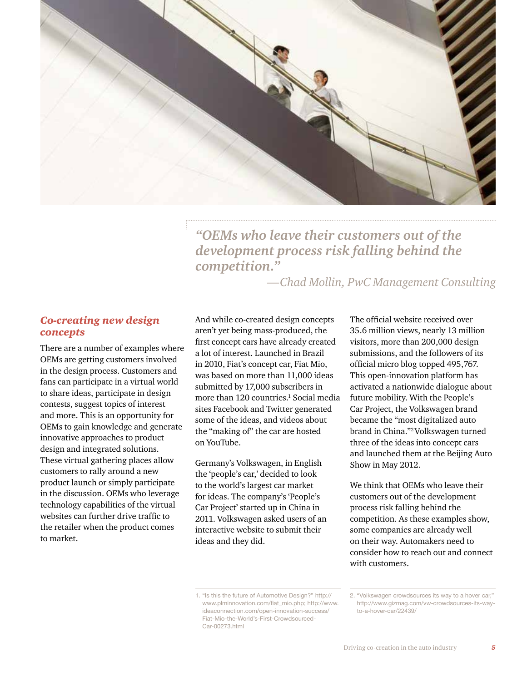

*"OEMs who leave their customers out of the development process risk falling behind the competition."*

*—Chad Mollin, PwC Management Consulting*

#### *Co-creating new design concepts*

There are a number of examples where OEMs are getting customers involved in the design process. Customers and fans can participate in a virtual world to share ideas, participate in design contests, suggest topics of interest and more. This is an opportunity for OEMs to gain knowledge and generate innovative approaches to product design and integrated solutions. These virtual gathering places allow customers to rally around a new product launch or simply participate in the discussion. OEMs who leverage technology capabilities of the virtual websites can further drive traffic to the retailer when the product comes to market.

And while co-created design concepts aren't yet being mass-produced, the first concept cars have already created a lot of interest. Launched in Brazil in 2010, Fiat's concept car, Fiat Mio, was based on more than 11,000 ideas submitted by 17,000 subscribers in more than 120 countries.<sup>1</sup> Social media sites Facebook and Twitter generated some of the ideas, and videos about the "making of" the car are hosted on YouTube.

Germany's Volkswagen, in English the 'people's car,' decided to look to the world's largest car market for ideas. The company's 'People's Car Project' started up in China in 2011. Volkswagen asked users of an interactive website to submit their ideas and they did.

1. "Is this the future of Automotive Design?" [http://](http://www.plminnovation.com/fiat_mio.php) [www.plminnovation.com/fiat\\_mio.php](http://www.plminnovation.com/fiat_mio.php); [http://www.](http://www.ideaconnection.com/open-innovation-success/Fiat-Mio-the-World%E2%80%99s-First-Crowdsourced-Car-00273.html) [ideaconnection.com/open-innovation-success/](http://www.ideaconnection.com/open-innovation-success/Fiat-Mio-the-World%E2%80%99s-First-Crowdsourced-Car-00273.html) [Fiat-Mio-the-World's-First-Crowdsourced-](http://www.ideaconnection.com/open-innovation-success/Fiat-Mio-the-World%E2%80%99s-First-Crowdsourced-Car-00273.html)[Car-00273.html](http://www.ideaconnection.com/open-innovation-success/Fiat-Mio-the-World%E2%80%99s-First-Crowdsourced-Car-00273.html)

The official website received over 35.6 million views, nearly 13 million visitors, more than 200,000 design submissions, and the followers of its official micro blog topped 495,767. This open-innovation platform has activated a nationwide dialogue about future mobility. With the People's Car Project, the Volkswagen brand became the "most digitalized auto brand in China."2 Volkswagen turned three of the ideas into concept cars and launched them at the Beijing Auto Show in May 2012.

We think that OEMs who leave their customers out of the development process risk falling behind the competition. As these examples show, some companies are already well on their way. Automakers need to consider how to reach out and connect with customers.

<sup>2.</sup> "Volkswagen crowdsources its way to a hover car," [http://www.gizmag.com/vw-crowdsources-its-way](http://www.gizmag.com/vw-crowdsources-its-way-to-a-hover-car/22439/)[to-a-hover-car/22439/](http://www.gizmag.com/vw-crowdsources-its-way-to-a-hover-car/22439/)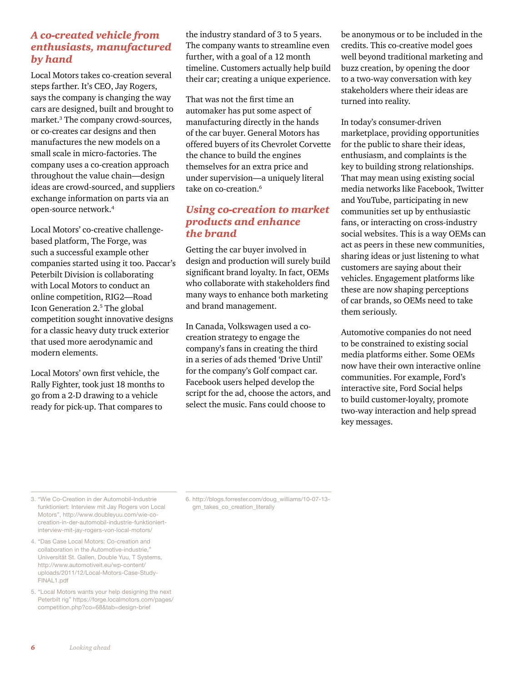#### *A co-created vehicle from enthusiasts, manufactured by hand*

Local Motors takes co-creation several steps farther. It's CEO, Jay Rogers, says the company is changing the way cars are designed, built and brought to market.<sup>3</sup> The company crowd-sources, or co-creates car designs and then manufactures the new models on a small scale in micro-factories. The company uses a co-creation approach throughout the value chain—design ideas are crowd-sourced, and suppliers exchange information on parts via an open-source network.<sup>4</sup>

Local Motors' co-creative challengebased platform, The Forge, was such a successful example other companies started using it too. Paccar's Peterbilt Division is collaborating with Local Motors to conduct an online competition, RIG2—Road Icon Generation 2.<sup>5</sup> The global competition sought innovative designs for a classic heavy duty truck exterior that used more aerodynamic and modern elements.

Local Motors' own first vehicle, the Rally Fighter, took just 18 months to go from a 2-D drawing to a vehicle ready for pick-up. That compares to

the industry standard of 3 to 5 years. The company wants to streamline even further, with a goal of a 12 month timeline. Customers actually help build their car; creating a unique experience.

That was not the first time an automaker has put some aspect of manufacturing directly in the hands of the car buyer. General Motors has offered buyers of its Chevrolet Corvette the chance to build the engines themselves for an extra price and under supervision—a uniquely literal take on co-creation.<sup>6</sup>

#### *Using co-creation to market products and enhance the brand*

Getting the car buyer involved in design and production will surely build significant brand loyalty. In fact, OEMs who collaborate with stakeholders find many ways to enhance both marketing and brand management.

In Canada, Volkswagen used a cocreation strategy to engage the company's fans in creating the third in a series of ads themed 'Drive Until' for the company's Golf compact car. Facebook users helped develop the script for the ad, choose the actors, and select the music. Fans could choose to

be anonymous or to be included in the credits. This co-creative model goes well beyond traditional marketing and buzz creation, by opening the door to a two-way conversation with key stakeholders where their ideas are turned into reality.

In today's consumer-driven marketplace, providing opportunities for the public to share their ideas, enthusiasm, and complaints is the key to building strong relationships. That may mean using existing social media networks like Facebook, Twitter and YouTube, participating in new communities set up by enthusiastic fans, or interacting on cross-industry social websites. This is a way OEMs can act as peers in these new communities, sharing ideas or just listening to what customers are saying about their vehicles. Engagement platforms like these are now shaping perceptions of car brands, so OEMs need to take them seriously.

Automotive companies do not need to be constrained to existing social media platforms either. Some OEMs now have their own interactive online communities. For example, Ford's interactive site, Ford Social helps to build customer-loyalty, promote two-way interaction and help spread key messages.

3. "Wie Co-Creation in der Automobil-Industrie funktioniert: Interview mit Jay Rogers von Local Motors", [http://www.doubleyuu.com/wie-co](http://www.doubleyuu.com/wie-co-creation-in-der-automobil-industrie-funktioniert-interview-mit-jay-rogers-von-local-motors/)[creation-in-der-automobil-industrie-funktioniert](http://www.doubleyuu.com/wie-co-creation-in-der-automobil-industrie-funktioniert-interview-mit-jay-rogers-von-local-motors/)[interview-mit-jay-rogers-von-local-motors/](http://www.doubleyuu.com/wie-co-creation-in-der-automobil-industrie-funktioniert-interview-mit-jay-rogers-von-local-motors/)

4. "Das Case Local Motors: Co-creation and collaboration in the Automotive-industrie," Universität St. Gallen, Double Yuu, T Systems, [http://www.automotiveit.eu/wp-content/](http://www.automotiveit.eu/wp-content/uploads/2011/12/Local-Motors-Case-Study-FINAL1.pdf) [uploads/2011/12/Local-Motors-Case-Study-](http://www.automotiveit.eu/wp-content/uploads/2011/12/Local-Motors-Case-Study-FINAL1.pdf)[FINAL1.pdf](http://www.automotiveit.eu/wp-content/uploads/2011/12/Local-Motors-Case-Study-FINAL1.pdf)

5. "Local Motors wants your help designing the next Peterbilt rig" [https://forge.localmotors.com/pages/](https://forge.localmotors.com/pages/competition.php%3Fco%3D68%26tab%3Ddesign-brief) [competition.php?co=68&tab=design-brief](https://forge.localmotors.com/pages/competition.php%3Fco%3D68%26tab%3Ddesign-brief)

6. [http://blogs.forrester.com/doug\\_williams/10-07-13](http://blogs.forrester.com/doug_williams/10-07-13-gm_takes_co_creation_literally) [gm\\_takes\\_co\\_creation\\_literally](http://blogs.forrester.com/doug_williams/10-07-13-gm_takes_co_creation_literally)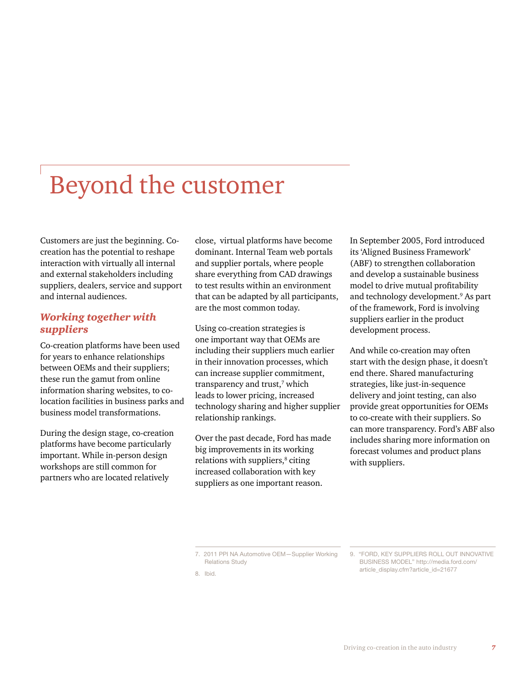## Beyond the customer

Customers are just the beginning. Cocreation has the potential to reshape interaction with virtually all internal and external stakeholders including suppliers, dealers, service and support and internal audiences.

#### *Working together with suppliers*

Co-creation platforms have been used for years to enhance relationships between OEMs and their suppliers; these run the gamut from online information sharing websites, to colocation facilities in business parks and business model transformations.

During the design stage, co-creation platforms have become particularly important. While in-person design workshops are still common for partners who are located relatively

close, virtual platforms have become dominant. Internal Team web portals and supplier portals, where people share everything from CAD drawings to test results within an environment that can be adapted by all participants, are the most common today.

Using co-creation strategies is one important way that OEMs are including their suppliers much earlier in their innovation processes, which can increase supplier commitment, transparency and trust,<sup>7</sup> which leads to lower pricing, increased technology sharing and higher supplier relationship rankings.

Over the past decade, Ford has made big improvements in its working relations with suppliers,<sup>8</sup> citing increased collaboration with key suppliers as one important reason.

In September 2005, Ford introduced its 'Aligned Business Framework' (ABF) to strengthen collaboration and develop a sustainable business model to drive mutual profitability and technology development.<sup>9</sup> As part of the framework, Ford is involving suppliers earlier in the product development process.

And while co-creation may often start with the design phase, it doesn't end there. Shared manufacturing strategies, like just-in-sequence delivery and joint testing, can also provide great opportunities for OEMs to co-create with their suppliers. So can more transparency. Ford's ABF also includes sharing more information on forecast volumes and product plans with suppliers.

<sup>7.</sup> 2011 PPI NA Automotive OEM—Supplier Working Relations Study

<sup>8.</sup> Ibid.

<sup>9.</sup> "FORD, KEY SUPPLIERS ROLL OUT INNOVATIVE BUSINESS MODEL" [http://media.ford.com/](http://media.ford.com/article_display.cfm%3Farticle_id%3D21677) [article\\_display.cfm?article\\_id=21677](http://media.ford.com/article_display.cfm%3Farticle_id%3D21677)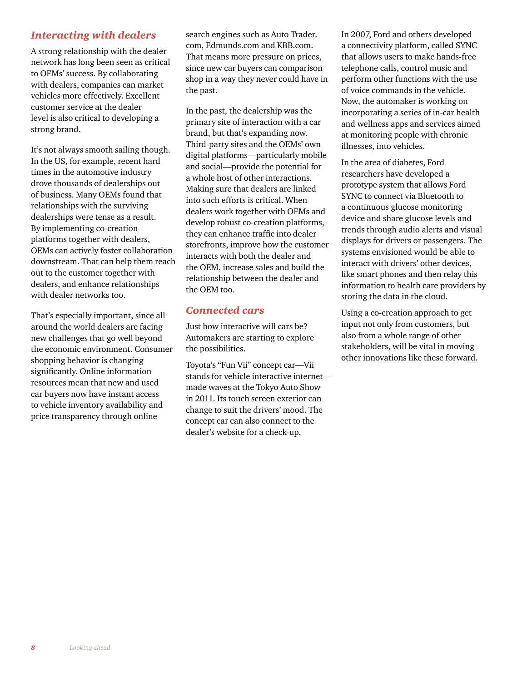#### *Interacting with dealers*

A strong relationship with the dealer network has long been seen as critical to OEMs' success. By collaborating with dealers, companies can market vehicles more effectively. Excellent customer service at the dealer level is also critical to developing a strong brand.

It's not always smooth sailing though. In the US, for example, recent hard times in the automotive industry drove thousands of dealerships out of business. Many OEMs found that relationships with the surviving dealerships were tense as a result. By implementing co-creation platforms together with dealers, OEMs can actively foster collaboration downstream. That can help them reach out to the customer together with dealers, and enhance relationships with dealer networks too.

That's especially important, since all around the world dealers are facing new challenges that go well beyond the economic environment. Consumer shopping behavior is changing significantly. Online information resources mean that new and used car buyers now have instant access to vehicle inventory availability and price transparency through online

search engines such as Auto Trader. com, Edmunds.com and KBB.com. That means more pressure on prices, since new car buyers can comparison shop in a way they never could have in the past.

In the past, the dealership was the primary site of interaction with a car brand, but that's expanding now. Third-party sites and the OEMs' own digital platforms—particularly mobile and social—provide the potential for a whole host of other interactions. Making sure that dealers are linked into such efforts is critical. When dealers work together with OEMs and develop robust co-creation platforms, they can enhance traffic into dealer storefronts, improve how the customer interacts with both the dealer and the OEM, increase sales and build the relationship between the dealer and the OEM too.

#### *Connected cars*

Just how interactive will cars be? Automakers are starting to explore the possibilities.

Toyota's "Fun Vii" concept car—Vii stands for vehicle interactive internet made waves at the Tokyo Auto Show in 2011. Its touch screen exterior can change to suit the drivers' mood. The concept car can also connect to the dealer's website for a check-up.

In 2007, Ford and others developed a connectivity platform, called SYNC that allows users to make hands-free telephone calls, control music and perform other functions with the use of voice commands in the vehicle. Now, the automaker is working on incorporating a series of in-car health and wellness apps and services aimed at monitoring people with chronic illnesses, into vehicles.

In the area of diabetes, Ford researchers have developed a prototype system that allows Ford SYNC to connect via Bluetooth to a continuous glucose monitoring device and share glucose levels and trends through audio alerts and visual displays for drivers or passengers. The systems envisioned would be able to interact with drivers' other devices, like smart phones and then relay this information to health care providers by storing the data in the cloud.

Using a co-creation approach to get input not only from customers, but also from a whole range of other stakeholders, will be vital in moving other innovations like these forward.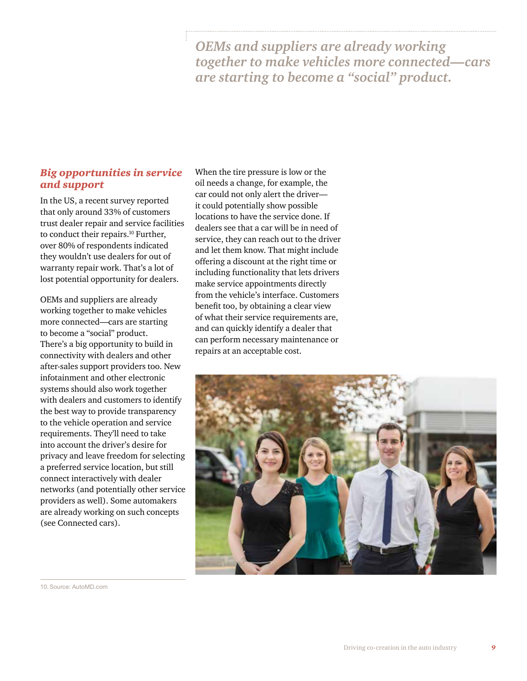*OEMs and suppliers are already working together to make vehicles more connected—cars are starting to become a "social" product.* 

#### *Big opportunities in service and support*

In the US, a recent survey reported that only around 33% of customers trust dealer repair and service facilities to conduct their repairs.<sup>10</sup> Further, over 80% of respondents indicated they wouldn't use dealers for out of warranty repair work. That's a lot of lost potential opportunity for dealers.

OEMs and suppliers are already working together to make vehicles more connected—cars are starting to become a "social" product. There's a big opportunity to build in connectivity with dealers and other after-sales support providers too. New infotainment and other electronic systems should also work together with dealers and customers to identify the best way to provide transparency to the vehicle operation and service requirements. They'll need to take into account the driver's desire for privacy and leave freedom for selecting a preferred service location, but still connect interactively with dealer networks (and potentially other service providers as well). Some automakers are already working on such concepts (see Connected cars).

When the tire pressure is low or the oil needs a change, for example, the car could not only alert the driver it could potentially show possible locations to have the service done. If dealers see that a car will be in need of service, they can reach out to the driver and let them know. That might include offering a discount at the right time or including functionality that lets drivers make service appointments directly from the vehicle's interface. Customers benefit too, by obtaining a clear view of what their service requirements are, and can quickly identify a dealer that can perform necessary maintenance or repairs at an acceptable cost.



10. Source: [AutoMD.com](http://www.automd.com/about-automd/press/01-23-2013/)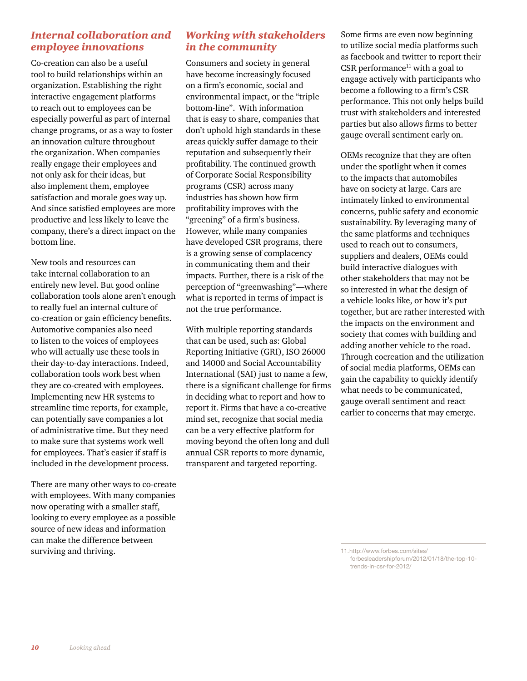#### *Internal collaboration and employee innovations*

Co-creation can also be a useful tool to build relationships within an organization. Establishing the right interactive engagement platforms to reach out to employees can be especially powerful as part of internal change programs, or as a way to foster an innovation culture throughout the organization. When companies really engage their employees and not only ask for their ideas, but also implement them, employee satisfaction and morale goes way up. And since satisfied employees are more productive and less likely to leave the company, there's a direct impact on the bottom line.

New tools and resources can take internal collaboration to an entirely new level. But good online collaboration tools alone aren't enough to really fuel an internal culture of co-creation or gain efficiency benefits. Automotive companies also need to listen to the voices of employees who will actually use these tools in their day-to-day interactions. Indeed, collaboration tools work best when they are co-created with employees. Implementing new HR systems to streamline time reports, for example, can potentially save companies a lot of administrative time. But they need to make sure that systems work well for employees. That's easier if staff is included in the development process.

There are many other ways to co-create with employees. With many companies now operating with a smaller staff, looking to every employee as a possible source of new ideas and information can make the difference between surviving and thriving.

#### *Working with stakeholders in the community*

Consumers and society in general have become increasingly focused on a firm's economic, social and environmental impact, or the "triple bottom-line". With information that is easy to share, companies that don't uphold high standards in these areas quickly suffer damage to their reputation and subsequently their profitability. The continued growth of Corporate Social Responsibility programs (CSR) across many industries has shown how firm profitability improves with the "greening" of a firm's business. However, while many companies have developed CSR programs, there is a growing sense of complacency in communicating them and their impacts. Further, there is a risk of the perception of "greenwashing"—where what is reported in terms of impact is not the true performance.

With multiple reporting standards that can be used, such as: Global Reporting Initiative (GRI), ISO 26000 and 14000 and Social Accountability International (SAI) just to name a few, there is a significant challenge for firms in deciding what to report and how to report it. Firms that have a co-creative mind set, recognize that social media can be a very effective platform for moving beyond the often long and dull annual CSR reports to more dynamic, transparent and targeted reporting.

Some firms are even now beginning to utilize social media platforms such as facebook and twitter to report their CSR performance $11$  with a goal to engage actively with participants who become a following to a firm's CSR performance. This not only helps build trust with stakeholders and interested parties but also allows firms to better gauge overall sentiment early on.

OEMs recognize that they are often under the spotlight when it comes to the impacts that automobiles have on society at large. Cars are intimately linked to environmental concerns, public safety and economic sustainability. By leveraging many of the same platforms and techniques used to reach out to consumers, suppliers and dealers, OEMs could build interactive dialogues with other stakeholders that may not be so interested in what the design of a vehicle looks like, or how it's put together, but are rather interested with the impacts on the environment and society that comes with building and adding another vehicle to the road. Through cocreation and the utilization of social media platforms, OEMs can gain the capability to quickly identify what needs to be communicated, gauge overall sentiment and react earlier to concerns that may emerge.

11.[http://www.forbes.com/sites/](http://www.forbes.com/sites/forbesleadershipforum/2012/01/18/the-top-10-trends-in-csr-for-2012/) [forbesleadershipforum/2012/01/18/the-top-10](http://www.forbes.com/sites/forbesleadershipforum/2012/01/18/the-top-10-trends-in-csr-for-2012/) [trends-in-csr-for-2012/](http://www.forbes.com/sites/forbesleadershipforum/2012/01/18/the-top-10-trends-in-csr-for-2012/)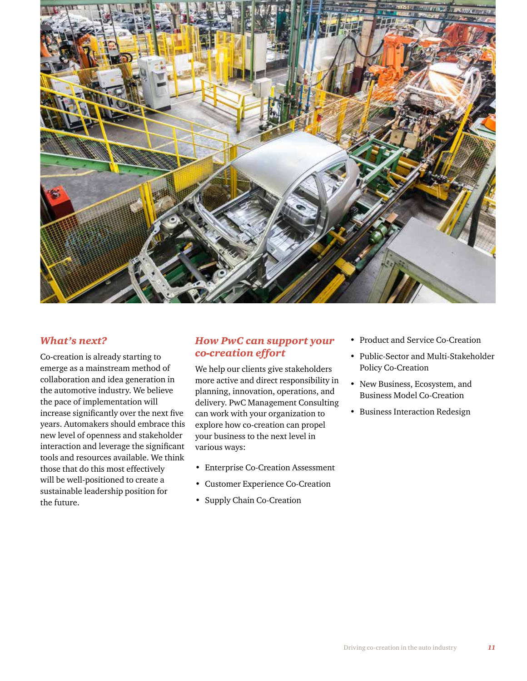

#### *What's next?*

Co-creation is already starting to emerge as a mainstream method of collaboration and idea generation in the automotive industry. We believe the pace of implementation will increase significantly over the next five years. Automakers should embrace this new level of openness and stakeholder interaction and leverage the significant tools and resources available. We think those that do this most effectively will be well-positioned to create a sustainable leadership position for the future.

#### *How PwC can support your co-creation effort*

We help our clients give stakeholders more active and direct responsibility in planning, innovation, operations, and delivery. PwC Management Consulting can work with your organization to explore how co-creation can propel your business to the next level in various ways:

- Enterprise Co-Creation Assessment
- Customer Experience Co-Creation
- Supply Chain Co-Creation
- Product and Service Co-Creation
- Public-Sector and Multi-Stakeholder Policy Co-Creation
- New Business, Ecosystem, and Business Model Co-Creation
- Business Interaction Redesign